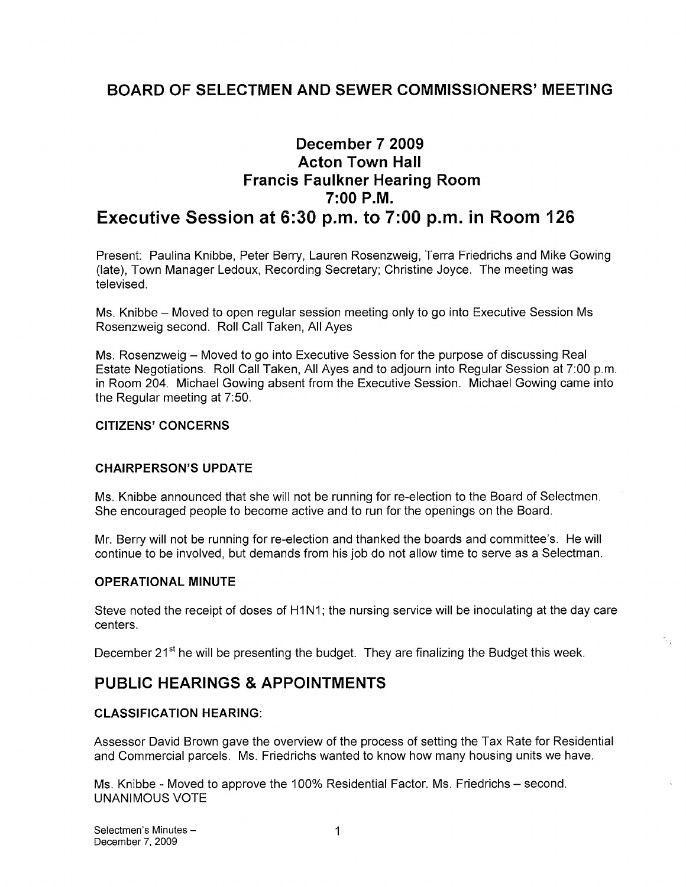# BOARD OF SELECTMEN AND SEWER COMMISSIONERS' MEETING

# December 7 2009 Acton Town Hall Francis Faulkner Hearing Room 7:00 P.M. Executive Session at 6:30 p.m. to 7:00 p.m. in Room 126

Present: Paulina Knibbe, Peter Berry, Lauren Rosenzweig, Terra Friedrichs and Mike Gowing (late), Town Manager Ledoux, Recording Secretary; Christine Joyce. The meeting was televised.

Ms. Knibbe — Moved to open regular session meeting only to go into Executive Session Ms Rosenzweig second. Roll Call Taken, All Ayes

Ms. Rosenzweig — Moved to go into Executive Session for the purpose of discussing Real Estate Negotiations. Roll Call Taken, All Ayes and to adjourn into Regular Session at 7:00 p.m. in Room 204. Michael Gowing absent from the Executive Session. Michael Gowing came into the Regular meeting at 7:50.

#### CITIZENS' CONCERNS

## CHAIRPERSON'S UPDATE

Ms. Knibbe announced that she will not be running for re-election to the Board of Selectmen. She encouraged people to become active and to run for the openings on the Board.

Mr. Berry will not be running for re-election and thanked the boards and committee's. He will continue to be involved, but demands from his job do not allow time to serve as a Selectman.

#### OPERATIONAL MINUTE

Steve noted the receipt of doses of H1N1; the nursing service will be inoculating at the day care centers.

December 21<sup>st</sup> he will be presenting the budget. They are finalizing the Budget this week.

## PUBLIC HEARINGS & APPOINTMENTS

#### CLASSIFICATION HEARING:

Assessor David Brown gave the overview of the process of setting the Tax Rate for Residential and Commercial parcels. Ms. Friedrichs wanted to know how many housing units we have.

Ms. Knibbe - Moved to approve the 100% Residential Factor. Ms. Friedrichs — second. UNANIMOUS VOTE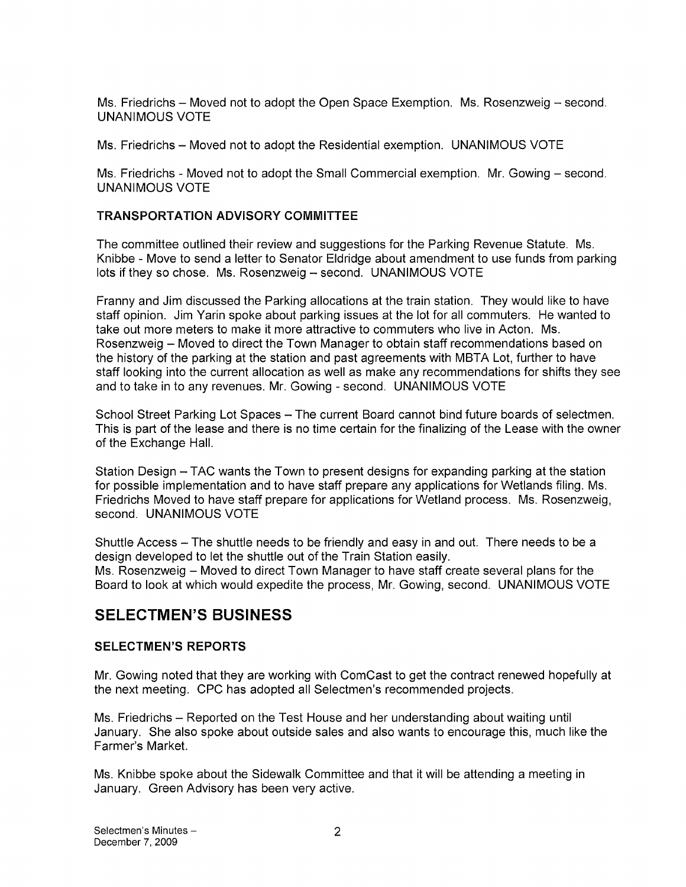Ms. Friedrichs — Moved not to adopt the Open Space Exemption. Ms. Rosenzweig — second. UNANIMOUS VOTE

Ms. Friedrichs — Moved not to adopt the Residential exemption. UNANIMOUS VOTE

Ms. Friedrichs - Moved not to adopt the Small Commercial exemption. Mr. Gowing – second. UNANIMOUS VOTE

## TRANSPORTATION ADVISORY COMMITTEE

The committee outlined their review and suggestions for the Parking Revenue Statute. Ms. Knibbe - Move to send a letter to Senator Eldridge about amendment to use funds from parking lots if they so chose. Ms. Rosenzweig — second. UNANIMOUS VOTE

Franny and Jim discussed the Parking allocations at the train station. They would like to have staff opinion. Jim Yarin spoke about parking issues at the lot for all commuters. He wanted to take out more meters to make it more attractive to commuters who live in Acton. Ms. Rosenzweig — Moved to direct the Town Manager to obtain staff recommendations based on the history of the parking at the station and past agreements with MBTA Lot, further to have staff looking into the current allocation as well as make any recommendations for shifts they see and to take in to any revenues. Mr. Gowing - second. UNANIMOUS VOTE

School Street Parking Lot Spaces — The current Board cannot bind future boards of selectmen. This is part of the lease and there is no time certain for the finalizing of the Lease with the owner of the Exchange Hall.

Station Design — TAC wants the Town to present designs for expanding parking at the station for possible implementation and to have staff prepare any applications for Wetlands filing. Ms. Friedrichs Moved to have staff prepare for applications for Wetland process. Ms. Rosenzweig, second. UNANIMOUS VOTE

Shuttle Access — The shuttle needs to be friendly and easy in and out. There needs to be a design developed to let the shuttle out of the Train Station easily. Ms. Rosenzweig — Moved to direct Town Manager to have staff create several plans for the Board to look at which would expedite the process, Mr. Gowing, second. UNANIMOUS VOTE

# SELECTMEN'S BUSINESS

## SELECTMEN'S REPORTS

Mr. Gowing noted that they are working with ComCast to get the contract renewed hopefully at the next meeting. CPC has adopted all Selectmen's recommended projects.

Ms. Friedrichs — Reported on the Test House and her understanding about waiting until January. She also spoke about outside sales and also wants to encourage this, much like the Farmer's Market.

Ms. Knibbe spoke about the Sidewalk Committee and that it will be attending a meeting in January. Green Advisory has been very active.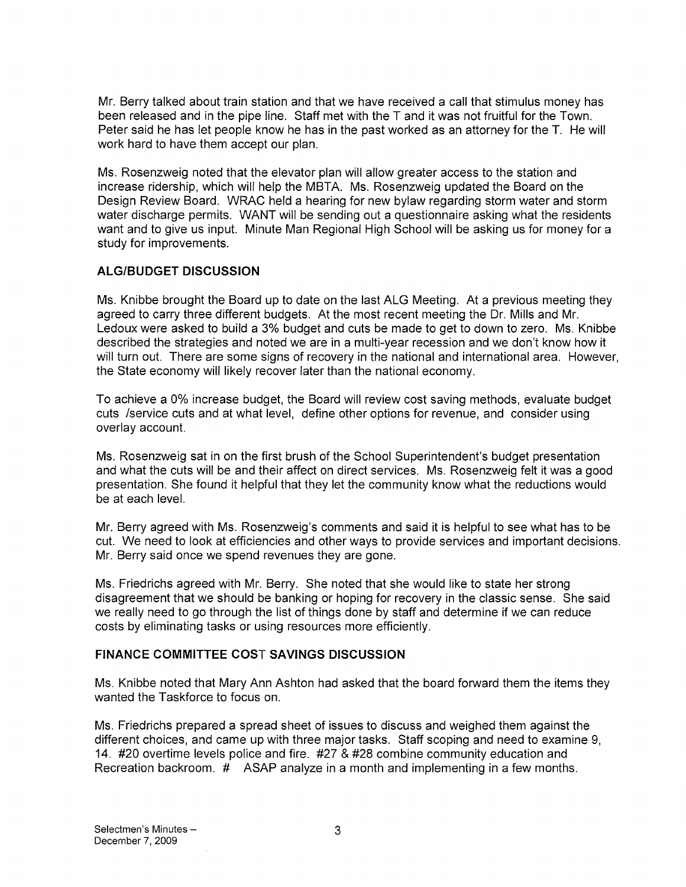Mr. Berry talked about train station and that we have received a call that stimulus money has been released and in the pipe line. Staff met with the T and it was not fruitful for the Town. Peter said he has let people know he has in the past worked as an attorney for the T. He will work hard to have them accept our plan.

Ms. Rosenzweig noted that the elevator plan will allow greater access to the station and increase ridership, which will help the MBTA. Ms. Rosenzweig updated the Board on the Design Review Board. WRAC held a hearing for new bylaw regarding storm water and storm water discharge permits. WANT will be sending out a questionnaire asking what the residents want and to give us input. Minute Man Regional High School will be asking us for money for a study for improvements.

## ALG!BUDGET DISCUSSION

Ms. Knibbe brought the Board up to date on the last ALG Meeting. At a previous meeting they agreed to carry three different budgets. At the most recent meeting the Dr. Mills and Mr. Ledoux were asked to build a 3% budget and cuts be made to get to down to zero. Ms. Knibbe described the strategies and noted we are in a multi-year recession and we don't know how it will turn out. There are some signs of recovery in the national and international area. However, the State economy will likely recover later than the national economy.

To achieve a 0% increase budget, the Board will review cost saving methods, evaluate budget cuts /service cuts and at what level, define other options for revenue, and consider using overlay account.

Ms. Rosenzweig sat in on the first brush of the School Superintendent's budget presentation and what the cuts will be and their affect on direct services. Ms. Rosenzweig felt it was a good presentation. She found it helpful that they let the community know what the reductions would be at each level.

Mr. Berry agreed with Ms. Rosenzweig's comments and said it is helpful to see what has to be cut. We need to look at efficiencies and other ways to provide services and important decisions. Mr. Berry said once we spend revenues they are gone.

Ms. Friedrichs agreed with Mr. Berry. She noted that she would like to state her strong disagreement that we should be banking or hoping for recovery in the classic sense. She said we really need to go through the list of things done by staff and determine if we can reduce costs by eliminating tasks or using resources more efficiently.

## FINANCE COMMITTEE COST SAVINGS DISCUSSION

Ms. Knibbe noted that Mary Ann Ashton had asked that the board forward them the items they wanted the Taskforce to focus on.

Ms. Friedrichs prepared a spread sheet of issues to discuss and weighed them against the different choices, and came up with three major tasks. Staff scoping and need to examine 9, 14. #20 overtime levels police and fire. #27 & #28 combine community education and Recreation backroom. # ASAP analyze in a month and implementing in a few months.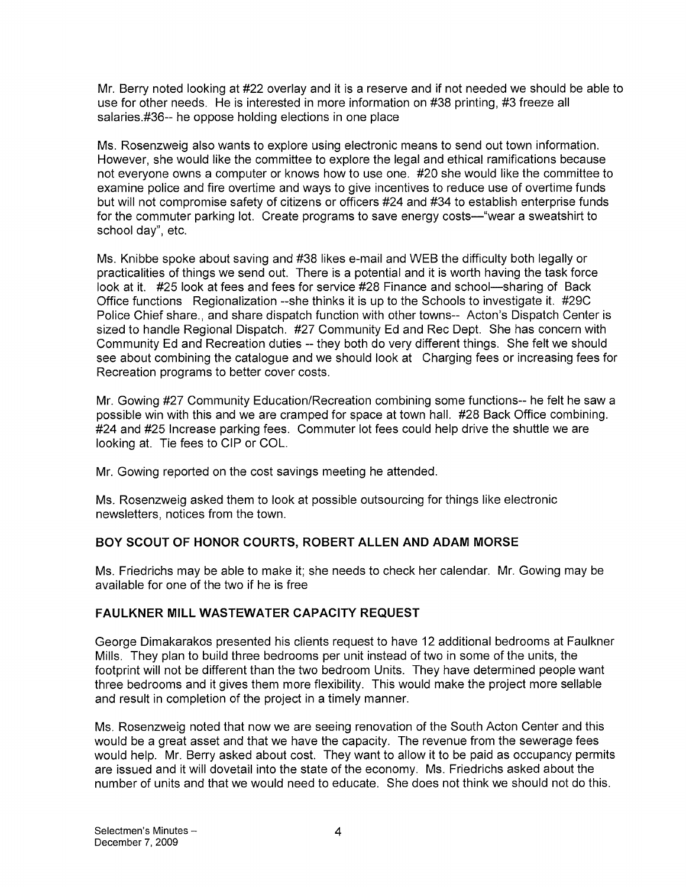Mr. Berry noted looking at #22 overlay and it is a reserve and if not needed we should be able to use for other needs. He is interested in more information on #38 printing, #3 freeze all salaries.#36-- he oppose holding elections in one place

Ms. Rosenzweig also wants to explore using electronic means to send out town information. However, she would like the committee to explore the legal and ethical ramifications because not everyone owns a computer or knows how to use one. #20 she would like the committee to examine police and fire overtime and ways to give incentives to reduce use of overtime funds but will not compromise safety of citizens or officers #24 and #34 to establish enterprise funds for the commuter parking lot. Create programs to save energy costs—"wear a sweatshirt to school day", etc.

Ms. Knibbe spoke about saving and #38 likes e-mail and WEB the difficulty both legally or practicalities of things we send out. There is a potential and it is worth having the task force look at it. #25 look at fees and fees for service #28 Finance and school—sharing of Back Office functions Regionalization --she thinks it is up to the Schools to investigate it. #29C Police Chief share., and share dispatch function with other towns-- Acton's Dispatch Center is sized to handle Regional Dispatch. #27 Community Ed and Rec Dept. She has concern with Community Ed and Recreation duties -- they both do very different things. She felt we should see about combining the catalogue and we should look at Charging fees or increasing fees for Recreation programs to better cover costs.

Mr. Gowing #27 Community Education/Recreation combining some functions-- he felt he saw a possible win with this and we are cramped for space at town hall. #28 Back Office combining. #24 and #25 Increase parking fees. Commuter lot fees could help drive the shuttle we are looking at. Tie fees to CIP or COL.

Mr. Gowing reported on the cost savings meeting he attended.

Ms. Rosenzweig asked them to look at possible outsourcing for things like electronic newsletters, notices from the town.

## BOY SCOUT OF HONOR COURTS, ROBERT ALLEN AND ADAM MORSE

Ms. Friedrichs may be able to make it; she needs to check her calendar. Mr. Gowing may be available for one of the two if he is free

## FAULKNER MILL WASTEWATER CAPACITY REQUEST

George Dimakarakos presented his clients request to have 12 additional bedrooms at Faulkner Mills. They plan to build three bedrooms per unit instead of two in some of the units, the footprint will not be different than the two bedroom Units. They have determined people want three bedrooms and it gives them more flexibility. This would make the project more sellable and result in completion of the project in a timely manner.

Ms. Rosenzweig noted that now we are seeing renovation of the South Acton Center and this would be a great asset and that we have the capacity. The revenue from the sewerage fees would help. Mr. Berry asked about cost. They want to allow it to be paid as occupancy permits are issued and it will dovetail into the state of the economy. Ms. Friedrichs asked about the number of units and that we would need to educate. She does not think we should not do this.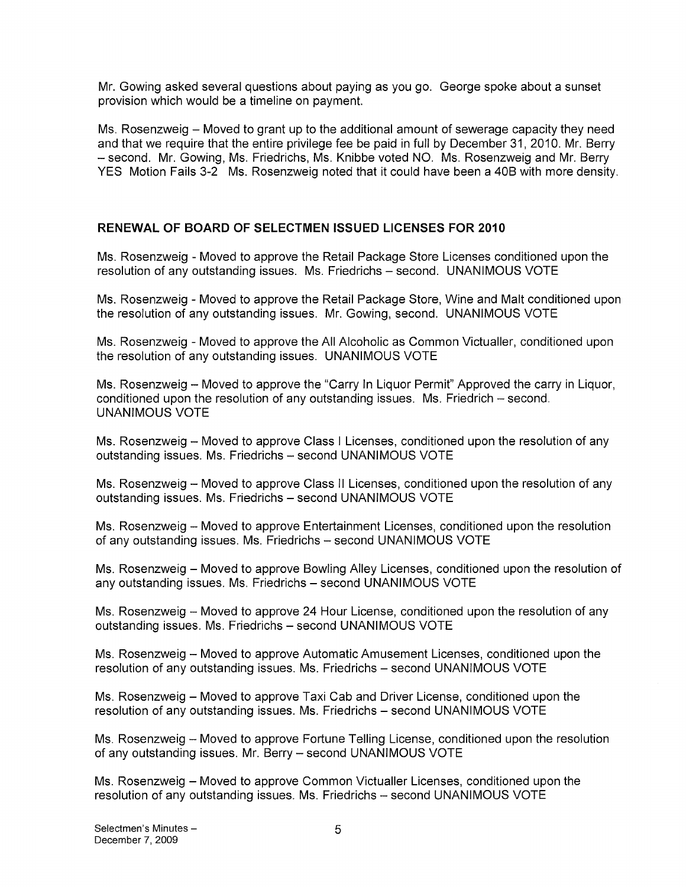Mr. Gowing asked several questions about paying as you go. George spoke about a sunset provision which would be a timeline on payment.

Ms. Rosenzweig — Moved to grant up to the additional amount of sewerage capacity they need and that we require that the entire privilege fee be paid in full by December 31, 2010. Mr. Berry — second. Mr. Gowing, Ms. Friedrichs, Ms. Knibbe voted NO. Ms. Rosenzweig and Mr. Berry YES Motion Fails 3-2 Ms. Rosenzweig noted that it could have been a 4DB with more density.

## RENEWAL OF BOARD OF SELECTMEN ISSUED LICENSES FOR 2010

Ms. Rosenzweig - Moved to approve the Retail Package Store Licenses conditioned upon the resolution of any outstanding issues. Ms. Friedrichs — second. UNANIMOUS VOTE

Ms. Rosenzweig -Moved to approve the Retail Package Store, Wine and Malt conditioned upon the resolution of any outstanding issues. Mr. Gowing, second. UNANIMOUS VOTE

Ms. Rosenzweig -Moved to approve the All Alcoholic as Common Victualler, conditioned upon the resolution of any outstanding issues. UNANIMOUS VOTE

Ms. Rosenzweig — Moved to approve the "Carry In Liquor Permit" Approved the carry in Liquor, conditioned upon the resolution of any outstanding issues. Ms. Friedrich — second. UNANIMOUS VOTE

Ms. Rosenzweig — Moved to approve Class <sup>I</sup> Licenses, conditioned upon the resolution of any outstanding issues. Ms. Friedrichs — second UNANIMOUS VOTE

Ms. Rosenzweig — Moved to approve Class II Licenses, conditioned upon the resolution of any outstanding issues. Ms. Friedrichs — second UNANIMOUS VOTE

Ms. Rosenzweig — Moved to approve Entertainment Licenses, conditioned upon the resolution of any outstanding issues. Ms. Friedrichs — second UNANIMOUS VOTE

Ms. Rosenzweig — Moved to approve Bowling Alley Licenses, conditioned upon the resolution of any outstanding issues. Ms. Friedrichs — second UNANIMOUS VOTE

Ms. Rosenzweig — Moved to approve 24 Hour License, conditioned upon the resolution of any outstanding issues. Ms. Friedrichs — second UNANIMOUS VOTE

Ms. Rosenzweig — Moved to approve Automatic Amusement Licenses, conditioned upon the resolution of any outstanding issues. Ms. Friedrichs — second UNANIMOUS VOTE

Ms. Rosenzweig — Moved to approve Taxi Cab and Driver License, conditioned upon the resolution of any outstanding issues. Ms. Friedrichs — second UNANIMOUS VOTE

Ms. Rosenzweig — Moved to approve Fortune Telling License, conditioned upon the resolution of any outstanding issues. Mr. Berry — second UNANIMOUS VOTE

Ms. Rosenzweig — Moved to approve Common Victualler Licenses, conditioned upon the resolution of any outstanding issues. Ms. Friedrichs — second UNANIMOUS VOTE